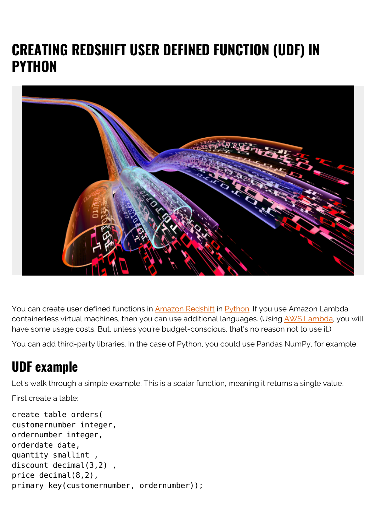## **CREATING REDSHIFT USER DEFINED FUNCTION (UDF) IN PYTHON**



You can create user defined functions in [Amazon Redshift](https://blogs.bmc.com/blogs/amazon-redshift-load-data/) in [Python.](https://blogs.bmc.com/blogs/python-tooling/) If you use Amazon Lambda containerless virtual machines, then you can use additional languages. (Using [AWS Lambda](https://blogs.bmc.com/blogs/aws-lambda/), you will have some usage costs. But, unless you're budget-conscious, that's no reason not to use it.)

You can add third-party libraries. In the case of Python, you could use Pandas NumPy, for example.

## **UDF example**

Let's walk through a simple example. This is a scalar function, meaning it returns a single value.

First create a table:

```
create table orders(
customernumber integer,
ordernumber integer,
orderdate date,
quantity smallint ,
discount decimal(3,2) ,
price decimal(8,2),
primary key(customernumber, ordernumber));
```